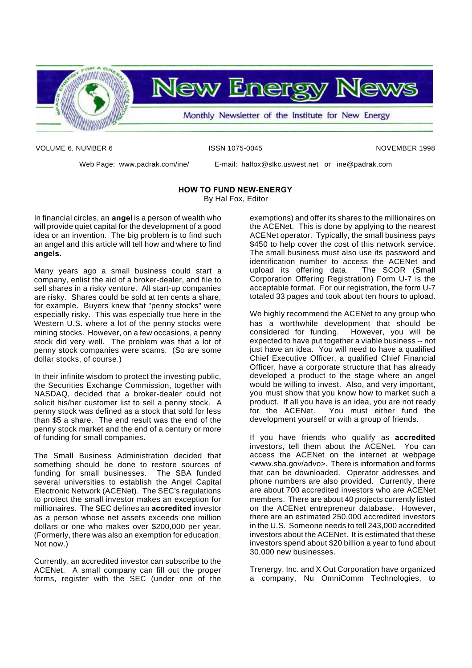

VOLUME 6, NUMBER 6 ISSN 1075-0045 NOVEMBER 1998

Web Page: www.padrak.com/ine/ E-mail: halfox@slkc.uswest.net or ine@padrak.com

#### **HOW TO FUND NEW-ENERGY**

By Hal Fox, Editor

In financial circles, an **angel** is a person of wealth who will provide quiet capital for the development of a good idea or an invention. The big problem is to find such an angel and this article will tell how and where to find **angels.**

Many years ago a small business could start a company, enlist the aid of a broker-dealer, and file to sell shares in a risky venture. All start-up companies are risky. Shares could be sold at ten cents a share, for example. Buyers knew that "penny stocks" were especially risky. This was especially true here in the Western U.S. where a lot of the penny stocks were mining stocks. However, on a few occasions, a penny stock did very well. The problem was that a lot of penny stock companies were scams. (So are some dollar stocks, of course.)

In their infinite wisdom to protect the investing public, the Securities Exchange Commission, together with NASDAQ, decided that a broker-dealer could not solicit his/her customer list to sell a penny stock. A penny stock was defined as a stock that sold for less than \$5 a share. The end result was the end of the penny stock market and the end of a century or more of funding for small companies.

The Small Business Administration decided that something should be done to restore sources of funding for small businesses. The SBA funded several universities to establish the Angel Capital Electronic Network (ACENet). The SEC's regulations to protect the small investor makes an exception for millionaires. The SEC defines an **accredited** investor as a person whose net assets exceeds one million dollars or one who makes over \$200,000 per year. (Formerly, there was also an exemption for education. Not now.)

Currently, an accredited investor can subscribe to the ACENet. A small company can fill out the proper forms, register with the SEC (under one of the

exemptions) and offer its shares to the millionaires on the ACENet. This is done by applying to the nearest ACENet operator. Typically, the small business pays \$450 to help cover the cost of this network service. The small business must also use its password and identification number to access the ACENet and<br>upload its offering data. The SCOR (Small upload its offering data. Corporation Offering Registration) Form U-7 is the acceptable format. For our registration, the form U-7 totaled 33 pages and took about ten hours to upload.

We highly recommend the ACENet to any group who has a worthwhile development that should be considered for funding. However, you will be expected to have put together a viable business -- not just have an idea. You will need to have a qualified Chief Executive Officer, a qualified Chief Financial Officer, have a corporate structure that has already developed a product to the stage where an angel would be willing to invest. Also, and very important, you must show that you know how to market such a product. If all you have is an idea, you are not ready for the ACENet. You must either fund the development yourself or with a group of friends.

If you have friends who qualify as **accredited** investors, tell them about the ACENet. You can access the ACENet on the internet at webpage <www.sba.gov/advo>. There is information and forms that can be downloaded. Operator addresses and phone numbers are also provided. Currently, there are about 700 accredited investors who are ACENet members. There are about 40 projects currently listed on the ACENet entrepreneur database. However, there are an estimated 250,000 accredited investors in the U.S. Someone needs to tell 243,000 accredited investors about the ACENet. It is estimated that these investors spend about \$20 billion a year to fund about 30,000 new businesses.

Trenergy, Inc. and X Out Corporation have organized a company, Nu OmniComm Technologies, to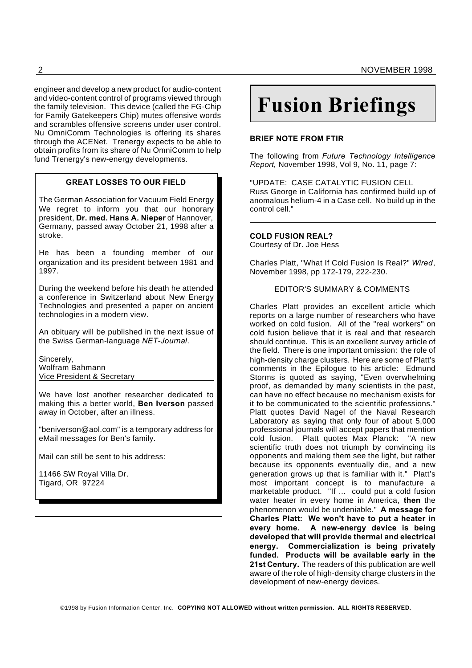engineer and develop a new product for audio-content and video-content control of programs viewed through the family television. This device (called the FG-Chip for Family Gatekeepers Chip) mutes offensive words and scrambles offensive screens under user control. Nu OmniComm Technologies is offering its shares through the ACENet. Trenergy expects to be able to obtain profits from its share of Nu OmniComm to help fund Trenergy's new-energy developments.

#### **GREAT LOSSES TO OUR FIELD**

The German Association for Vacuum Field Energy We regret to inform you that our honorary president, **Dr. med. Hans A. Nieper** of Hannover, Germany, passed away October 21, 1998 after a stroke.

He has been a founding member of our organization and its president between 1981 and 1997.

During the weekend before his death he attended a conference in Switzerland about New Energy Technologies and presented a paper on ancient technologies in a modern view.

An obituary will be published in the next issue of the Swiss German-language *NET-Journal*.

Sincerely, Wolfram Bahmann Vice President & Secretary

We have lost another researcher dedicated to making this a better world, **Ben Iverson** passed away in October, after an illness.

"beniverson@aol.com" is a temporary address for eMail messages for Ben's family.

Mail can still be sent to his address:

11466 SW Royal Villa Dr. Tigard, OR 97224

# **Fusion Briefings**

#### **BRIEF NOTE FROM FTIR**

The following from *Future Technology Intelligence Report*, November 1998, Vol 9, No. 11, page 7:

"UPDATE: CASE CATALYTIC FUSION CELL Russ George in California has confirmed build up of anomalous helium-4 in a Case cell. No build up in the control cell."

#### **COLD FUSION REAL?**

Courtesy of Dr. Joe Hess

Charles Platt, "What If Cold Fusion Is Real?" *Wired*, November 1998, pp 172-179, 222-230.

#### EDITOR'S SUMMARY & COMMENTS

Charles Platt provides an excellent article which reports on a large number of researchers who have worked on cold fusion. All of the "real workers" on cold fusion believe that it is real and that research should continue. This is an excellent survey article of the field. There is one important omission: the role of high-density charge clusters. Here are some of Platt's comments in the Epilogue to his article: Edmund Storms is quoted as saying, "Even overwhelming proof, as demanded by many scientists in the past, can have no effect because no mechanism exists for it to be communicated to the scientific professions." Platt quotes David Nagel of the Naval Research Laboratory as saying that only four of about 5,000 professional journals will accept papers that mention cold fusion. Platt quotes Max Planck: "A new scientific truth does not triumph by convincing its opponents and making them see the light, but rather because its opponents eventually die, and a new generation grows up that is familiar with it." Platt's most important concept is to manufacture a marketable product. "If ... could put a cold fusion water heater in every home in America, **then** the phenomenon would be undeniable." **A message for Charles Platt: We won't have to put a heater in every home. A new-energy device is being developed that will provide thermal and electrical energy. Commercialization is being privately funded. Products will be available early in the 21st Century.** The readers of this publication are well aware of the role of high-density charge clusters in the development of new-energy devices.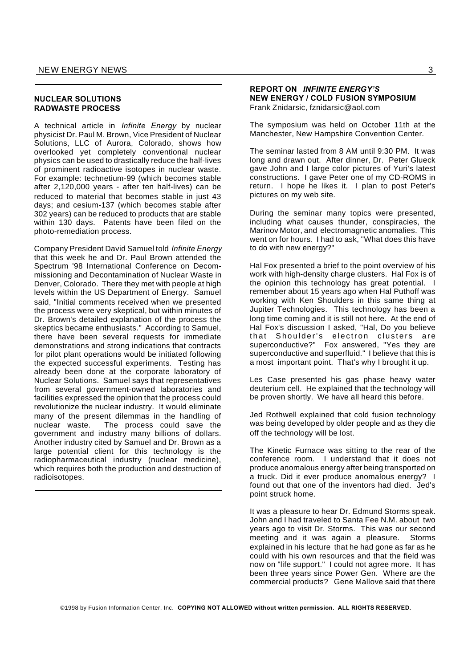#### **NUCLEAR SOLUTIONS RADWASTE PROCESS**

A technical article in *Infinite Energy* by nuclear physicist Dr. Paul M. Brown, Vice President of Nuclear Solutions, LLC of Aurora, Colorado, shows how overlooked yet completely conventional nuclear physics can be used to drastically reduce the half-lives of prominent radioactive isotopes in nuclear waste. For example: technetium-99 (which becomes stable after 2,120,000 years - after ten half-lives) can be reduced to material that becomes stable in just 43 days; and cesium-137 (which becomes stable after 302 years) can be reduced to products that are stable within 130 days. Patents have been filed on the photo-remediation process.

Company President David Samuel told *Infinite Energy* that this week he and Dr. Paul Brown attended the Spectrum '98 International Conference on Decommissioning and Decontamination of Nuclear Waste in Denver, Colorado. There they met with people at high levels within the US Department of Energy. Samuel said, "Initial comments received when we presented the process were very skeptical, but within minutes of Dr. Brown's detailed explanation of the process the skeptics became enthusiasts." According to Samuel, there have been several requests for immediate demonstrations and strong indications that contracts for pilot plant operations would be initiated following the expected successful experiments. Testing has already been done at the corporate laboratory of Nuclear Solutions. Samuel says that representatives from several government-owned laboratories and facilities expressed the opinion that the process could revolutionize the nuclear industry. It would eliminate many of the present dilemmas in the handling of nuclear waste. The process could save the government and industry many billions of dollars. Another industry cited by Samuel and Dr. Brown as a large potential client for this technology is the radiopharmaceutical industry (nuclear medicine), which requires both the production and destruction of radioisotopes.

#### **REPORT ON** *INFINITE ENERGY'S* **NEW ENERGY / COLD FUSION SYMPOSIUM** Frank Znidarsic, fznidarsic@aol.com

The symposium was held on October 11th at the Manchester, New Hampshire Convention Center.

The seminar lasted from 8 AM until 9:30 PM. It was long and drawn out. After dinner, Dr. Peter Glueck gave John and I large color pictures of Yuri's latest constructions. I gave Peter one of my CD-ROMS in return. I hope he likes it. I plan to post Peter's pictures on my web site.

During the seminar many topics were presented, including what causes thunder, conspiracies, the Marinov Motor, and electromagnetic anomalies. This went on for hours. I had to ask, "What does this have to do with new energy?"

Hal Fox presented a brief to the point overview of his work with high-density charge clusters. Hal Fox is of the opinion this technology has great potential. I remember about 15 years ago when Hal Puthoff was working with Ken Shoulders in this same thing at Jupiter Technologies. This technology has been a long time coming and it is still not here. At the end of Hal Fox's discussion I asked, "Hal, Do you believe that Shoulder's electron clusters are superconductive?" Fox answered, "Yes they are superconductive and superfluid." I believe that this is a most important point. That's why I brought it up.

Les Case presented his gas phase heavy water deuterium cell. He explained that the technology will be proven shortly. We have all heard this before.

Jed Rothwell explained that cold fusion technology was being developed by older people and as they die off the technology will be lost.

The Kinetic Furnace was sitting to the rear of the conference room. I understand that it does not produce anomalous energy after being transported on a truck. Did it ever produce anomalous energy? I found out that one of the inventors had died. Jed's point struck home.

It was a pleasure to hear Dr. Edmund Storms speak. John and I had traveled to Santa Fee N.M. about two years ago to visit Dr. Storms. This was our second meeting and it was again a pleasure. Storms explained in his lecture that he had gone as far as he could with his own resources and that the field was now on "life support." I could not agree more. It has been three years since Power Gen. Where are the commercial products? Gene Mallove said that there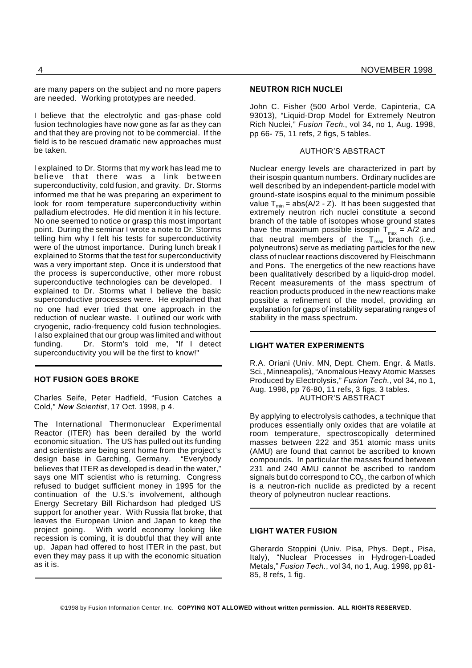are many papers on the subject and no more papers are needed. Working prototypes are needed.

I believe that the electrolytic and gas-phase cold fusion technologies have now gone as far as they can and that they are proving not to be commercial. If the field is to be rescued dramatic new approaches must be taken.

I explained to Dr. Storms that my work has lead me to believe that there was a link between superconductivity, cold fusion, and gravity. Dr. Storms informed me that he was preparing an experiment to look for room temperature superconductivity within palladium electrodes. He did mention it in his lecture. No one seemed to notice or grasp this most important point. During the seminar I wrote a note to Dr. Storms telling him why I felt his tests for superconductivity were of the utmost importance. During lunch break I explained to Storms that the test for superconductivity was a very important step. Once it is understood that the process is superconductive, other more robust superconductive technologies can be developed. I explained to Dr. Storms what I believe the basic superconductive processes were. He explained that no one had ever tried that one approach in the reduction of nuclear waste. I outlined our work with cryogenic, radio-frequency cold fusion technologies. I also explained that our group was limited and without funding. Dr. Storm's told me, "If I detect superconductivity you will be the first to know!"

#### **HOT FUSION GOES BROKE**

Charles Seife, Peter Hadfield, "Fusion Catches a Cold," *New Scientist*, 17 Oct. 1998, p 4.

The International Thermonuclear Experimental Reactor (ITER) has been derailed by the world economic situation. The US has pulled out its funding and scientists are being sent home from the project's design base in Garching, Germany. "Everybody believes that ITER as developed is dead in the water," says one MIT scientist who is returning. Congress refused to budget sufficient money in 1995 for the continuation of the U.S.'s involvement, although Energy Secretary Bill Richardson had pledged US support for another year. With Russia flat broke, that leaves the European Union and Japan to keep the project going. With world economy looking like recession is coming, it is doubtful that they will ante up. Japan had offered to host ITER in the past, but even they may pass it up with the economic situation as it is.

#### **NEUTRON RICH NUCLEI**

John C. Fisher (500 Arbol Verde, Capinteria, CA 93013), "Liquid-Drop Model for Extremely Neutron Rich Nuclei," *Fusion Tech.*, vol 34, no 1, Aug. 1998, pp 66- 75, 11 refs, 2 figs, 5 tables.

#### AUTHOR'S ABSTRACT

Nuclear energy levels are characterized in part by their isospin quantum numbers. Ordinary nuclides are well described by an independent-particle model with ground-state isospins equal to the minimum possible value  $T_{min}$  = abs(A/2 - Z). It has been suggested that extremely neutron rich nuclei constitute a second branch of the table of isotopes whose ground states have the maximum possible isospin  $T_{max}$  = A/2 and that neutral members of the  $T_{\text{max}}$  branch (i.e., polyneutrons) serve as mediating particles for the new class of nuclear reactions discovered by Fleischmann and Pons. The energetics of the new reactions have been qualitatively described by a liquid-drop model. Recent measurements of the mass spectrum of reaction products produced in the new reactions make possible a refinement of the model, providing an explanation for gaps of instability separating ranges of stability in the mass spectrum.

#### **LIGHT WATER EXPERIMENTS**

R.A. Oriani (Univ. MN, Dept. Chem. Engr. & Matls. Sci., Minneapolis), "Anomalous Heavy Atomic Masses Produced by Electrolysis," *Fusion Tech.*, vol 34, no 1, Aug. 1998, pp 76-80, 11 refs, 3 figs, 3 tables. AUTHOR'S ABSTRACT

By applying to electrolysis cathodes, a technique that produces essentially only oxides that are volatile at room temperature, spectroscopically determined masses between 222 and 351 atomic mass units (AMU) are found that cannot be ascribed to known compounds. In particular the masses found between 231 and 240 AMU cannot be ascribed to random signals but do correspond to CO $_2$ , the carbon of which is a neutron-rich nuclide as predicted by a recent theory of polyneutron nuclear reactions.

#### **LIGHT WATER FUSION**

Gherardo Stoppini (Univ. Pisa, Phys. Dept., Pisa, Italy), "Nuclear Processes in Hydrogen-Loaded Metals," *Fusion Tech.*, vol 34, no 1, Aug. 1998, pp 81- 85, 8 refs, 1 fig.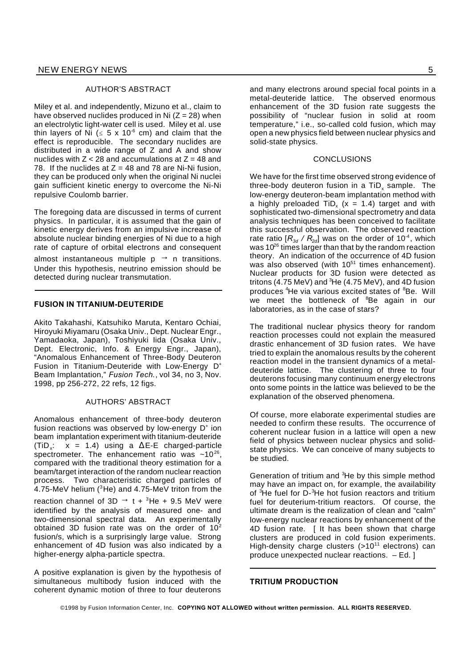#### AUTHOR'S ABSTRACT

Miley et al. and independently, Mizuno et al., claim to have observed nuclides produced in Ni  $(Z = 28)$  when an electrolytic light-water cell is used. Miley et al. use thin layers of Ni ( $\leq$  5 x 10<sup>-6</sup> cm) and claim that the effect is reproducible. The secondary nuclides are distributed in a wide range of Z and A and show nuclides with  $Z < 28$  and accumulations at  $Z = 48$  and 78. If the nuclides at  $Z = 48$  and 78 are Ni-Ni fusion, they can be produced only when the original Ni nuclei gain sufficient kinetic energy to overcome the Ni-Ni repulsive Coulomb barrier.

The foregoing data are discussed in terms of current physics. In particular, it is assumed that the gain of kinetic energy derives from an impulsive increase of absolute nuclear binding energies of Ni due to a high rate of capture of orbital electrons and consequent

almost instantaneous multiple  $p \rightarrow n$  transitions. Under this hypothesis, neutrino emission should be detected during nuclear transmutation.

#### **FUSION IN TITANIUM-DEUTERIDE**

Akito Takahashi, Katsuhiko Maruta, Kentaro Ochiai, Hiroyuki Miyamaru (Osaka Univ., Dept. Nuclear Engr., Yamadaoka, Japan), Toshiyuki Iida (Osaka Univ., Dept. Electronic, Info. & Energy Engr., Japan), "Anomalous Enhancement of Three-Body Deuteron Fusion in Titanium-Deuteride with Low-Energy D<sup>+</sup> Beam Implantation," *Fusion Tech.*, vol 34, no 3, Nov. 1998, pp 256-272, 22 refs, 12 figs.

#### AUTHORS' ABSTRACT

Anomalous enhancement of three-body deuteron fusion reactions was observed by low-energy D<sup>+</sup> ion beam implantation experiment with titanium-deuteride  $(TiD_x: x = 1.4)$  using a  $\Delta E-E$  charged-particle spectrometer. The enhancement ratio was  $~10^{26}$ , compared with the traditional theory estimation for a beam/target interaction of the random nuclear reaction process. Two characteristic charged particles of 4.75-MeV helium  $(^{3}$ He) and 4.75-MeV triton from the reaction channel of 3D  $\rightarrow$  t + <sup>3</sup>He + 9.5 MeV were identified by the analysis of measured one- and two-dimensional spectral data. An experimentally obtained 3D fusion rate was on the order of  $10^2$ fusion/s, which is a surprisingly large value. Strong enhancement of 4D fusion was also indicated by a higher-energy alpha-particle spectra.

A positive explanation is given by the hypothesis of simultaneous multibody fusion induced with the coherent dynamic motion of three to four deuterons

and many electrons around special focal points in a metal-deuteride lattice. The observed enormous enhancement of the 3D fusion rate suggests the possibility of "nuclear fusion in solid at room temperature," i.e., so-called cold fusion, which may open a new physics field between nuclear physics and solid-state physics.

#### **CONCLUSIONS**

We have for the first time observed strong evidence of three-body deuteron fusion in a TiD<sub>x</sub> sample. The low-energy deuteron-beam implantation method with a highly preloaded TiD<sub>x</sub> (x = 1.4) target and with sophisticated two-dimensional spectrometry and data analysis techniques has been conceived to facilitate this successful observation. The observed reaction rate ratio  $[R_{3d} / R_{2d}]$  was on the order of 10<sup>-4</sup>, which was  $10^{26}$  times larger than that by the random reaction theory. An indication of the occurrence of 4D fusion was also observed (with  $10^{51}$  times enhancement). Nuclear products for 3D fusion were detected as tritons (4.75 MeV) and  ${}^{3}$ He (4.75 MeV), and 4D fusion produces <sup>4</sup>He via various excited states of <sup>8</sup>Be. Will .<br>we meet the bottleneck of <sup>8</sup>Be again in our laboratories, as in the case of stars?

The traditional nuclear physics theory for random reaction processes could not explain the measured drastic enhancement of 3D fusion rates. We have tried to explain the anomalous results by the coherent reaction model in the transient dynamics of a metaldeuteride lattice. The clustering of three to four deuterons focusing many continuum energy electrons onto some points in the lattice was believed to be the explanation of the observed phenomena.

Of course, more elaborate experimental studies are needed to confirm these results. The occurrence of coherent nuclear fusion in a lattice will open a new field of physics between nuclear physics and solidstate physics. We can conceive of many subjects to be studied.

Generation of tritium and <sup>3</sup>He by this simple method may have an impact on, for example, the availability of <sup>3</sup>He fuel for D-<sup>3</sup>He hot fusion reactors and tritium fuel for deuterium-tritium reactors. Of course, the ultimate dream is the realization of clean and "calm" low-energy nuclear reactions by enhancement of the 4D fusion rate. [ It has been shown that charge clusters are produced in cold fusion experiments. High-density charge clusters  $(>10^{11}$  electrons) can produce unexpected nuclear reactions. – Ed. ]

#### **TRITIUM PRODUCTION**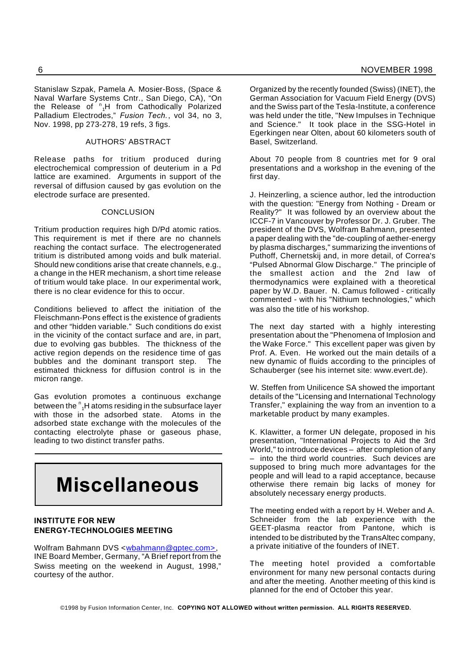Stanislaw Szpak, Pamela A. Mosier-Boss, (Space & Naval Warfare Systems Cntr., San Diego, CA), "On the Release of <sup>n</sup><sub>1</sub>H from Cathodically Polarized Palladium Electrodes," *Fusion Tech.*, vol 34, no 3, Nov. 1998, pp 273-278, 19 refs, 3 figs.

#### AUTHORS' ABSTRACT

Release paths for tritium produced during electrochemical compression of deuterium in a Pd lattice are examined. Arguments in support of the reversal of diffusion caused by gas evolution on the electrode surface are presented.

#### **CONCLUSION**

Tritium production requires high D/Pd atomic ratios. This requirement is met if there are no channels reaching the contact surface. The electrogenerated tritium is distributed among voids and bulk material. Should new conditions arise that create channels, e.g., a change in the HER mechanism, a short time release of tritium would take place. In our experimental work, there is no clear evidence for this to occur.

Conditions believed to affect the initiation of the Fleischmann-Pons effect is the existence of gradients and other "hidden variable." Such conditions do exist in the vicinity of the contact surface and are, in part, due to evolving gas bubbles. The thickness of the active region depends on the residence time of gas bubbles and the dominant transport step. The estimated thickness for diffusion control is in the micron range.

Gas evolution promotes a continuous exchange between the  $\frac{n}{1}$ H atoms residing in the subsurface layer with those in the adsorbed state. Atoms in the adsorbed state exchange with the molecules of the contacting electrolyte phase or gaseous phase, leading to two distinct transfer paths.

## **Miscellaneous**

#### **INSTITUTE FOR NEW ENERGY-TECHNOLOGIES MEETING**

Wolfram Bahmann DVS <wbahmann@gptec.com>, INE Board Member, Germany, "A Brief report from the Swiss meeting on the weekend in August, 1998," courtesy of the author.

Organized by the recently founded (Swiss) (INET), the German Association for Vacuum Field Energy (DVS) and the Swiss part of the Tesla-Institute, a conference was held under the title, "New Impulses in Technique and Science." It took place in the SSG-Hotel in Egerkingen near Olten, about 60 kilometers south of Basel, Switzerland.

About 70 people from 8 countries met for 9 oral presentations and a workshop in the evening of the first day.

J. Heinzerling, a science author, led the introduction with the question: "Energy from Nothing - Dream or Reality?" It was followed by an overview about the ICCF-7 in Vancouver by Professor Dr. J. Gruber. The president of the DVS, Wolfram Bahmann, presented a paper dealing with the "de-coupling of aether-energy by plasma discharges," summarizing the inventions of Puthoff, Chernetskij and, in more detail, of Correa's "Pulsed Abnormal Glow Discharge." The principle of the smallest action and the 2nd law of thermodynamics were explained with a theoretical paper by W.D. Bauer. N. Camus followed - critically commented - with his "Nithium technologies," which was also the title of his workshop.

The next day started with a highly interesting presentation about the "Phenomena of Implosion and the Wake Force." This excellent paper was given by Prof. A. Even. He worked out the main details of a new dynamic of fluids according to the principles of Schauberger (see his internet site: www.evert.de).

W. Steffen from Unilicence SA showed the important details of the "Licensing and International Technology Transfer," explaining the way from an invention to a marketable product by many examples.

K. Klawitter, a former UN delegate, proposed in his presentation, "International Projects to Aid the 3rd World," to introduce devices – after completion of any – into the third world countries. Such devices are supposed to bring much more advantages for the people and will lead to a rapid acceptance, because otherwise there remain big lacks of money for absolutely necessary energy products.

The meeting ended with a report by H. Weber and A. Schneider from the lab experience with the GEET-plasma reactor from Pantone, which is intended to be distributed by the TransAltec company, a private initiative of the founders of INET.

The meeting hotel provided a comfortable environment for many new personal contacts during and after the meeting. Another meeting of this kind is planned for the end of October this year.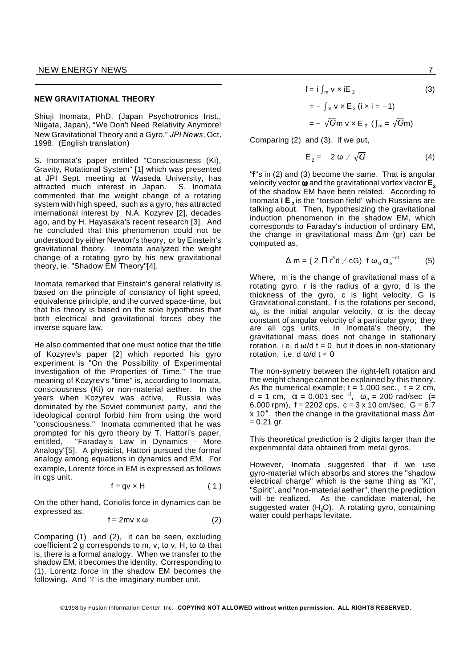#### **NEW GRAVITATIONAL THEORY**

Shiuji Inomata, PhD. (Japan Psychotronics Inst., Niigata, Japan), "We Don't Need Relativity Anymore! New Gravitational Theory and a Gyro," *JPI News*, Oct. 1998. (English translation)

S. Inomata's paper entitled "Consciousness (Ki), Gravity, Rotational System" [1] which was presented at JPI Sept. meeting at Waseda University, has attracted much interest in Japan. S. Inomata commented that the weight change of a rotating system with high speed, such as a gyro, has attracted international interest by N.A. Kozyrev [2], decades ago, and by H. Hayasaka's recent research [3]. And he concluded that this phenomenon could not be understood by either Newton's theory, or by Einstein's gravitational theory. Inomata analyzed the weight change of a rotating gyro by his new gravitational theory, ie. "Shadow EM Theory"[4].

Inomata remarked that Einstein's general relativity is based on the principle of constancy of light speed, equivalence principle, and the curved space-time, but that his theory is based on the sole hypothesis that both electrical and gravitational forces obey the inverse square law.

He also commented that one must notice that the title of Kozyrev's paper [2] which reported his gyro experiment is "On the Possibility of Experimental Investigation of the Properties of Time." The true meaning of Kozyrev's "time" is, according to Inomata, consciousness (Ki) or non-material aether. In the years when Kozyrev was active, Russia was dominated by the Soviet communist party, and the ideological control forbid him from using the word "consciousness." Inomata commented that he was prompted for his gyro theory by T. Hattori's paper, entitled, "Faraday's Law in Dynamics - More Analogy"[5]. A physicist, Hattori pursued the formal analogy among equations in dynamics and EM. For example, Lorentz force in EM is expressed as follows in cgs unit.

$$
f = qv \times H \tag{1}
$$

On the other hand, Coriolis force in dynamics can be expressed as,

$$
f = 2mv \times \omega \tag{2}
$$

Comparing (1) and (2), it can be seen, excluding coefficient 2 g corresponds to m, v, to v, H, to  $\omega$  that is, there is a formal analogy. When we transfer to the shadow EM, it becomes the identity. Corresponding to (1), Lorentz force in the shadow EM becomes the following. And "i" is the imaginary number unit.

 $f = i \int_{m} v \times iE_2$ (3)  $= - \int_{m} v \times E_2$  (i  $\times i = -1$ )  $=$   $-\sqrt{G}$ m v  $\times$  E  $_2$  ( $\int_m = \sqrt{G}$ m)

Comparing (2) and (3), if we put,

$$
E_2 = -2 \omega / \sqrt{G} \tag{4}
$$

"**f**"s in (2) and (3) become the same. That is angular velocity vector  $\omega$  and the gravitational vortex vector **E**<sub>2</sub> of the shadow EM have been related. According to Inomata **i E <sup>2</sup>** is the "torsion field" which Russians are talking about. Then, hypothesizing the gravitational induction phenomenon in the shadow EM, which corresponds to Faraday's induction of ordinary EM, the change in gravitational mass  $\Delta m$  (gr) can be computed as,

$$
\Delta m = (2 \Pi r^3 d / cG) f \omega_0 \alpha_e^{-dt} \qquad (5)
$$

Where, m is the change of gravitational mass of a rotating gyro, r is the radius of a gyro, d is the thickness of the gyro, c is light velocity, G is Gravitational constant, f is the rotations per second,  $\omega_{0}$  is the initial angular velocity,  $\alpha$  is the decay constant of angular velocity of a particular gyro; they are all cgs units. In Inomata's theory, the gravitational mass does not change in stationary rotation, i e, d  $\omega/d$  t = 0 but it does in non-stationary rotation, i.e. d  $\omega/d$  t  $\neq 0$ 

The non-symetry between the right-left rotation and the weight change cannot be explained by this theory. As the numerical example; t = 1.000 sec., t = 2 cm, d = 1 cm,  $\alpha$  = 0.001 sec  $^{-1}$ ,  $\omega_{\rm o}$  = 200 rad/sec (= 6.000 rpm),  $f = 2202$  cps,  $c = 3 \times 10$  cm/sec,  $G = 6.7$ x 10<sup>8</sup>, then the change in the gravitational mass  $\Delta m$  $= 0.21$  gr.

This theoretical prediction is 2 digits larger than the experimental data obtained from metal gyros.

However, Inomata suggested that if we use gyro-material which absorbs and stores the "shadow electrical charge" which is the same thing as "Ki", "Spirit", and "non-material aether", then the prediction will be realized. As the candidate material, he suggested water (H<sub>2</sub>O). A rotating gyro, containing water could perhaps levitate.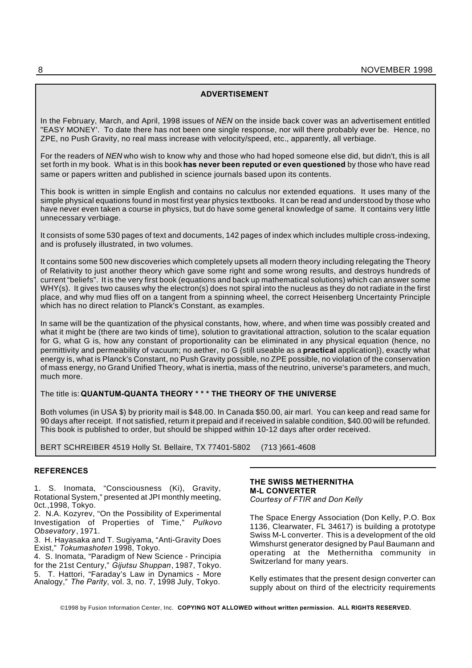#### **ADVERTISEMENT**

In the February, March, and April, 1998 issues of *NEN* on the inside back cover was an advertisement entitled "EASY MONEY'. To date there has not been one single response, nor will there probably ever be. Hence, no ZPE, no Push Gravity, no real mass increase with velocity/speed, etc., apparently, all verbiage.

For the readers of *NEN* who wish to know why and those who had hoped someone else did, but didn't, this is all set forth in my book. What is in this book**has never been reputed or even questioned** by those who have read same or papers written and published in science journals based upon its contents.

This book is written in simple English and contains no calculus nor extended equations. It uses many of the simple physical equations found in most first year physics textbooks. It can be read and understood by those who have never even taken a course in physics, but do have some general knowledge of same. It contains very little unnecessary verbiage.

It consists of some 530 pages of text and documents, 142 pages of index which includes multiple cross-indexing, and is profusely illustrated, in two volumes.

It contains some 500 new discoveries which completely upsets all modern theory including relegating the Theory of Relativity to just another theory which gave some right and some wrong results, and destroys hundreds of current "beliefs". It is the very first book (equations and back up mathematical solutions) which can answer some WHY(s). It gives two causes why the electron(s) does not spiral into the nucleus as they do not radiate in the first place, and why mud flies off on a tangent from a spinning wheel, the correct Heisenberg Uncertainty Principle which has no direct relation to Planck's Constant, as examples.

In same will be the quantization of the physical constants, how, where, and when time was possibly created and what it might be (there are two kinds of time), solution to gravitational attraction, solution to the scalar equation for G, what G is, how any constant of proportionality can be eliminated in any physical equation (hence, no permittivity and permeability of vacuum; no aether, no G {still useable as a **practical** application}), exactly what energy is, what is Planck's Constant, no Push Gravity possible, no ZPE possible, no violation of the conservation of mass energy, no Grand Unified Theory, what is inertia, mass of the neutrino, universe's parameters, and much, much more.

#### The title is: **QUANTUM-QUANTA THEORY \* \* \* THE THEORY OF THE UNIVERSE**

Both volumes (in USA \$) by priority mail is \$48.00. In Canada \$50.00, air marl. You can keep and read same for 90 days after receipt. If not satisfied, return it prepaid and if received in salable condition, \$40.00 will be refunded. This book is published to order, but should be shipped within 10-12 days after order received.

BERT SCHREIBER 4519 Holly St. Bellaire, TX 77401-5802 (713 )661-4608

#### **REFERENCES**

1. S. Inomata, "Consciousness (Ki), Gravity, Rotational System," presented at JPI monthly meeting, 0ct.,1998, Tokyo.

2. N.A. Kozyrev, "On the Possibility of Experimental Investigation of Properties of Time," *Pulkovo Obsevatory* , 1971.

3. H. Hayasaka and T. Sugiyama, "Anti-Gravity Does Exist," *Tokumashoten* 1998, Tokyo.

4. S. Inomata, "Paradigm of New Science - Principia for the 21st Century," *Gijutsu Shuppan*, 1987, Tokyo. 5. T. Hattori, "Faraday's Law in Dynamics - More

Analogy," The Parity, vol. 3, no. 7, 1998 July, Tokyo.

#### **THE SWISS METHERNITHA M-L CONVERTER**

*Courtesy of FTIR and Don Kelly*

The Space Energy Association (Don Kelly, P.O. Box 1136, Clearwater, FL 34617) is building a prototype Swiss M-L converter. This is a development of the old Wimshurst generator designed by Paul Baumann and operating at the Methernitha community in Switzerland for many years.

Kelly estimates that the present design converter can supply about on third of the electricity requirements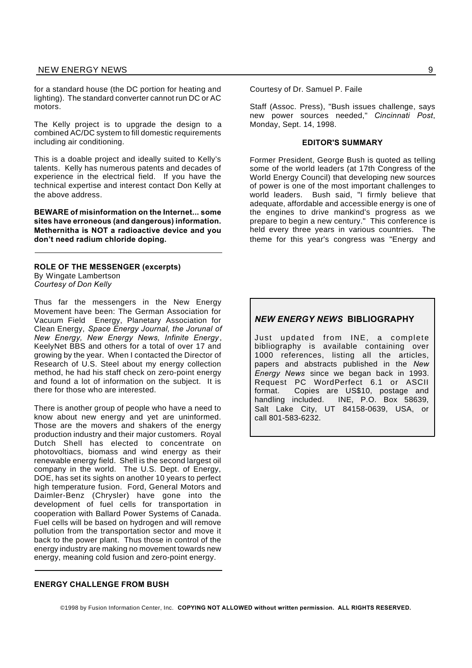for a standard house (the DC portion for heating and lighting). The standard converter cannot run DC or AC motors.

The Kelly project is to upgrade the design to a combined AC/DC system to fill domestic requirements including air conditioning.

This is a doable project and ideally suited to Kelly's talents. Kelly has numerous patents and decades of experience in the electrical field. If you have the technical expertise and interest contact Don Kelly at the above address.

**BEWARE of misinformation on the Internet... some sites have erroneous (and dangerous) information. Methernitha is NOT a radioactive device and you don't need radium chloride doping.**

**ROLE OF THE MESSENGER (excerpts)** By Wingate Lambertson *Courtesy of Don Kelly*

Thus far the messengers in the New Energy Movement have been: The German Association for Vacuum Field Energy, Planetary Association for Clean Energy, *Space Energy Journal, the Jorunal of New Energy, New Energy News, Infinite Energy* , KeelyNet BBS and others for a total of over 17 and growing by the year. When I contacted the Director of Research of U.S. Steel about my energy collection method, he had his staff check on zero-point energy and found a lot of information on the subject. It is there for those who are interested.

There is another group of people who have a need to know about new energy and yet are uninformed. Those are the movers and shakers of the energy production industry and their major customers. Royal Dutch Shell has elected to concentrate on photovoltiacs, biomass and wind energy as their renewable energy field. Shell is the second largest oil company in the world. The U.S. Dept. of Energy, DOE, has set its sights on another 10 years to perfect high temperature fusion. Ford, General Motors and Daimler-Benz (Chrysler) have gone into the development of fuel cells for transportation in cooperation with Ballard Power Systems of Canada. Fuel cells will be based on hydrogen and will remove pollution from the transportation sector and move it back to the power plant. Thus those in control of the energy industry are making no movement towards new energy, meaning cold fusion and zero-point energy.

#### **ENERGY CHALLENGE FROM BUSH**

Courtesy of Dr. Samuel P. Faile

Staff (Assoc. Press), "Bush issues challenge, says new power sources needed," *Cincinnati Post*, Monday, Sept. 14, 1998.

#### **EDITOR'S SUMMARY**

Former President, George Bush is quoted as telling some of the world leaders (at 17th Congress of the World Energy Council) that developing new sources of power is one of the most important challenges to world leaders. Bush said, "I firmly believe that adequate, affordable and accessible energy is one of the engines to drive mankind's progress as we prepare to begin a new century." This conference is held every three years in various countries. The theme for this year's congress was "Energy and

#### *NEW ENERGY NEWS* **BIBLIOGRAPHY**

Just updated from INE, a complete bibliography is available containing over 1000 references, listing all the articles, papers and abstracts published in the *New Energy News* since we began back in 1993. Request PC WordPerfect 6.1 or ASCII format. Copies are US\$10, postage and handling included. INE, P.O. Box 58639, Salt Lake City, UT 84158-0639, USA, or call 801-583-6232.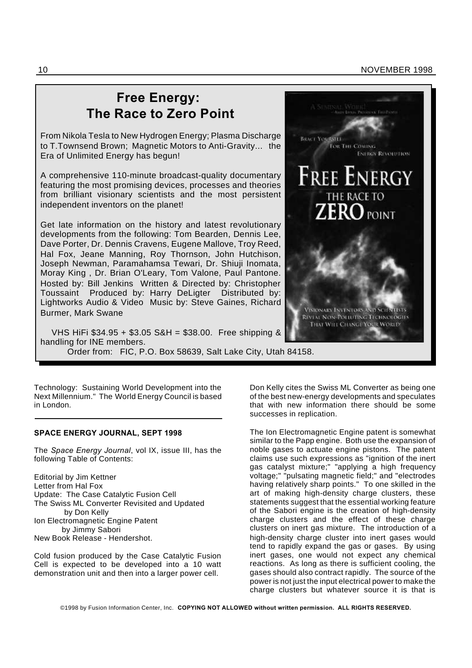#### 10 NOVEMBER 1998

### **Free Energy: The Race to Zero Point**

From Nikola Tesla to New Hydrogen Energy; Plasma Discharge to T.Townsend Brown; Magnetic Motors to Anti-Gravity... the Era of Unlimited Energy has begun!

A comprehensive 110-minute broadcast-quality documentary featuring the most promising devices, processes and theories from brilliant visionary scientists and the most persistent independent inventors on the planet!

Get late information on the history and latest revolutionary developments from the following: Tom Bearden, Dennis Lee, Dave Porter, Dr. Dennis Cravens, Eugene Mallove, Troy Reed, Hal Fox, Jeane Manning, Roy Thornson, John Hutchison, Joseph Newman, Paramahamsa Tewari, Dr. Shiuji Inomata, Moray King , Dr. Brian O'Leary, Tom Valone, Paul Pantone. Hosted by: Bill Jenkins Written & Directed by: Christopher Toussaint Produced by: Harry DeLigter Distributed by: Lightworks Audio & Video Music by: Steve Gaines, Richard Burmer, Mark Swane



VHS HiFi \$34.95 + \$3.05 S&H = \$38.00. Free shipping & handling for INE members. Order from: FIC, P.O. Box 58639, Salt Lake City, Utah 84158.

Technology: Sustaining World Development into the Next Millennium." The World Energy Council is based in London.

#### **SPACE ENERGY JOURNAL, SEPT 1998**

The *Space Energy Journal*, vol IX, issue III, has the following Table of Contents:

Editorial by Jim Kettner Letter from Hal Fox Update: The Case Catalytic Fusion Cell The Swiss ML Converter Revisited and Updated by Don Kelly Ion Electromagnetic Engine Patent by Jimmy Sabori New Book Release - Hendershot.

Cold fusion produced by the Case Catalytic Fusion Cell is expected to be developed into a 10 watt demonstration unit and then into a larger power cell.

Don Kelly cites the Swiss ML Converter as being one of the best new-energy developments and speculates that with new information there should be some successes in replication.

The Ion Electromagnetic Engine patent is somewhat similar to the Papp engine. Both use the expansion of noble gases to actuate engine pistons. The patent claims use such expressions as "ignition of the inert gas catalyst mixture;" "applying a high frequency voltage;" "pulsating magnetic field;" and "electrodes having relatively sharp points." To one skilled in the art of making high-density charge clusters, these statements suggest that the essential working feature of the Sabori engine is the creation of high-density charge clusters and the effect of these charge clusters on inert gas mixture. The introduction of a high-density charge cluster into inert gases would tend to rapidly expand the gas or gases. By using inert gases, one would not expect any chemical reactions. As long as there is sufficient cooling, the gases should also contract rapidly. The source of the power is not just the input electrical power to make the charge clusters but whatever source it is that is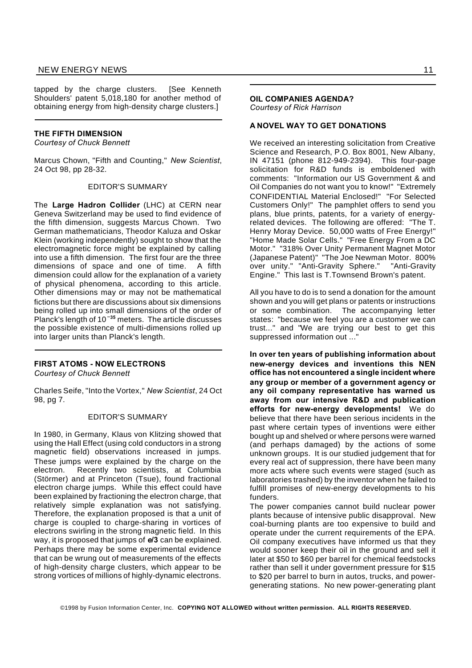tapped by the charge clusters. [See Kenneth Shoulders' patent 5,018,180 for another method of obtaining energy from high-density charge clusters.]

#### **THE FIFTH DIMENSION**

*Courtesy of Chuck Bennett*

Marcus Chown, "Fifth and Counting," *New Scientist*, 24 Oct 98, pp 28-32.

#### EDITOR'S SUMMARY

The **Large Hadron Collider** (LHC) at CERN near Geneva Switzerland may be used to find evidence of the fifth dimension, suggests Marcus Chown. Two German mathematicians, Theodor Kaluza and Oskar Klein (working independently) sought to show that the electromagnetic force might be explained by calling into use a fifth dimension. The first four are the three dimensions of space and one of time. A fifth dimension could allow for the explanation of a variety of physical phenomena, according to this article. Other dimensions may or may not be mathematical fictions but there are discussions about six dimensions being rolled up into small dimensions of the order of Planck's length of 10 **<sup>35</sup>** meters. The article discusses the possible existence of multi-dimensions rolled up into larger units than Planck's length.

#### **FIRST ATOMS - NOW ELECTRONS**

*Courtesy of Chuck Bennett*

Charles Seife, "Into the Vortex," *New Scientist*, 24 Oct 98, pg 7.

#### EDITOR'S SUMMARY

In 1980, in Germany, Klaus von Klitzing showed that using the Hall Effect (using cold conductors in a strong magnetic field) observations increased in jumps. These jumps were explained by the charge on the electron. Recently two scientists, at Columbia (Störmer) and at Princeton (Tsue), found fractional electron charge jumps. While this effect could have been explained by fractioning the electron charge, that relatively simple explanation was not satisfying. Therefore, the explanation proposed is that a unit of charge is coupled to charge-sharing in vortices of electrons swirling in the strong magnetic field. In this way, it is proposed that jumps of *e***/3** can be explained. Perhaps there may be some experimental evidence that can be wrung out of measurements of the effects of high-density charge clusters, which appear to be strong vortices of millions of highly-dynamic electrons.

#### **OIL COMPANIES AGENDA?**

*Courtesy of Rick Harrison*

#### **A NOVEL WAY TO GET DONATIONS**

We received an interesting solicitation from Creative Science and Research, P.O. Box 8001, New Albany, IN 47151 (phone 812-949-2394). This four-page solicitation for R&D funds is emboldened with comments: "Information our US Government & and Oil Companies do not want you to know!" "Extremely CONFIDENTIAL Material Enclosed!" "For Selected Customers Only!" The pamphlet offers to send you plans, blue prints, patents, for a variety of energyrelated devices. The following are offered: "The T. Henry Moray Device. 50,000 watts of Free Energy!" "Home Made Solar Cells." "Free Energy From a DC Motor." "318% Over Unity Permanent Magnet Motor (Japanese Patent)" "The Joe Newman Motor. 800% over unity." "Anti-Gravity Sphere." "Anti-Gravity Engine." This last is T.Townsend Brown's patent.

All you have to do is to send a donation for the amount shown and you will get plans or patents or instructions or some combination. The accompanying letter states: "because we feel you are a customer we can trust..." and "We are trying our best to get this suppressed information out ...'

**In over ten years of publishing information about new-energy devices and inventions this NEN office has not encountered a single incident where any group or member of a government agency or any oil company representative has warned us away from our intensive R&D and publication efforts for new-energy developments!** We do believe that there have been serious incidents in the past where certain types of inventions were either bought up and shelved or where persons were warned (and perhaps damaged) by the actions of some unknown groups. It is our studied judgement that for every real act of suppression, there have been many more acts where such events were staged (such as laboratories trashed) by the inventor when he failed to fulfill promises of new-energy developments to his funders.

The power companies cannot build nuclear power plants because of intensive public disapproval. New coal-burning plants are too expensive to build and operate under the current requirements of the EPA. Oil company executives have informed us that they would sooner keep their oil in the ground and sell it later at \$50 to \$60 per barrel for chemical feedstocks rather than sell it under government pressure for \$15 to \$20 per barrel to burn in autos, trucks, and powergenerating stations. No new power-generating plant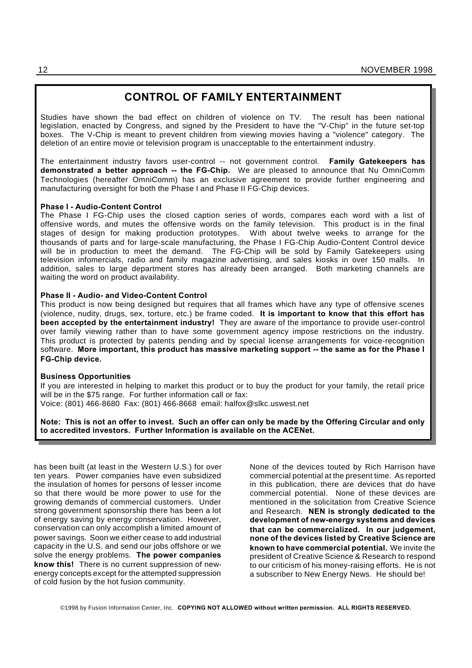#### **CONTROL OF FAMILY ENTERTAINMENT**

Studies have shown the bad effect on children of violence on TV. The result has been national legislation, enacted by Congress, and signed by the President to have the "V-Chip" in the future set-top boxes. The V-Chip is meant to prevent children from viewing movies having a "violence" category. The deletion of an entire movie or television program is unacceptable to the entertainment industry.

The entertainment industry favors user-control -- not government control. **Family Gatekeepers has demonstrated a better approach -- the FG-Chip.** We are pleased to announce that Nu OmniComm Technologies (hereafter OmniComm) has an exclusive agreement to provide further engineering and manufacturing oversight for both the Phase I and Phase II FG-Chip devices.

#### **Phase I - Audio-Content Control**

The Phase I FG-Chip uses the closed caption series of words, compares each word with a list of offensive words, and mutes the offensive words on the family television. This product is in the final stages of design for making production prototypes. With about twelve weeks to arrange for the thousands of parts and for large-scale manufacturing, the Phase I FG-Chip Audio-Content Control device will be in production to meet the demand. The FG-Chip will be sold by Family Gatekeepers using television infomercials, radio and family magazine advertising, and sales kiosks in over 150 malls. In addition, sales to large department stores has already been arranged. Both marketing channels are waiting the word on product availability.

#### **Phase II - Audio- and Video-Content Control**

This product is now being designed but requires that all frames which have any type of offensive scenes (violence, nudity, drugs, sex, torture, etc.) be frame coded. **It is important to know that this effort has been accepted by the entertainment industry!** They are aware of the importance to provide user-control over family viewing rather than to have some government agency impose restrictions on the industry. This product is protected by patents pending and by special license arrangements for voice-recognition software. **More important, this product has massive marketing support -- the same as for the Phase I FG-Chip device.**

#### **Business Opportunities**

If you are interested in helping to market this product or to buy the product for your family, the retail price will be in the \$75 range. For further information call or fax: Voice: (801) 466-8680 Fax: (801) 466-8668 email: halfox@slkc.uswest.net

**Note: This is not an offer to invest. Such an offer can only be made by the Offering Circular and only to accredited investors. Further Information is available on the ACENet.**

has been built (at least in the Western U.S.) for over ten years. Power companies have even subsidized the insulation of homes for persons of lesser income so that there would be more power to use for the growing demands of commercial customers. Under strong government sponsorship there has been a lot of energy saving by energy conservation. However, conservation can only accomplish a limited amount of power savings. Soon we either cease to add industrial capacity in the U.S. and send our jobs offshore or we solve the energy problems. **The power companies know this!** There is no current suppression of newenergy concepts except for the attempted suppression of cold fusion by the hot fusion community.

None of the devices touted by Rich Harrison have commercial potential at the present time. As reported in this publication, there are devices that do have commercial potential. None of these devices are mentioned in the solicitation from Creative Science and Research. **NEN is strongly dedicated to the development of new-energy systems and devices that can be commercialized. In our judgement, none of the devices listed by Creative Science are known to have commercial potential.** We invite the president of Creative Science & Research to respond to our criticism of his money-raising efforts. He is not a subscriber to New Energy News. He should be!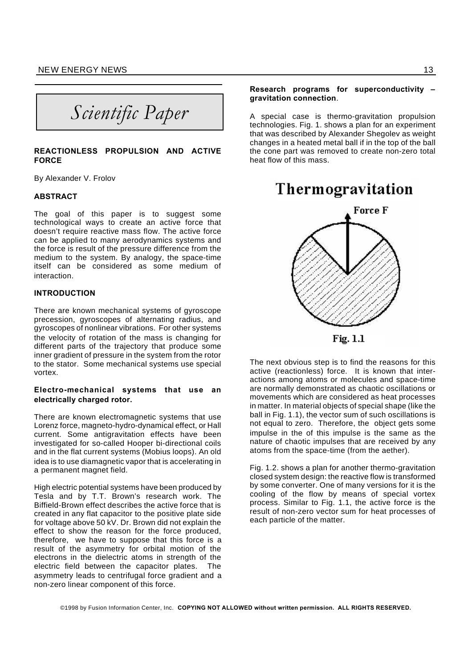*Scientific Paper*

#### **REACTIONLESS PROPULSION AND ACTIVE FORCE**

By Alexander V. Frolov

#### **ABSTRACT**

The goal of this paper is to suggest some technological ways to create an active force that doesn't require reactive mass flow. The active force can be applied to many aerodynamics systems and the force is result of the pressure difference from the medium to the system. By analogy, the space-time itself can be considered as some medium of interaction.

#### **INTRODUCTION**

There are known mechanical systems of gyroscope precession, gyroscopes of alternating radius, and gyroscopes of nonlinear vibrations. For other systems the velocity of rotation of the mass is changing for different parts of the trajectory that produce some inner gradient of pressure in the system from the rotor to the stator. Some mechanical systems use special vortex.

#### **Electro-mechanical systems that use an electrically charged rotor.**

There are known electromagnetic systems that use Lorenz force, magneto-hydro-dynamical effect, or Hall current. Some antigravitation effects have been investigated for so-called Hooper bi-directional coils and in the flat current systems (Mobius loops). An old idea is to use diamagnetic vapor that is accelerating in a permanent magnet field.

High electric potential systems have been produced by Tesla and by T.T. Brown's research work. The Biffield-Brown effect describes the active force that is created in any flat capacitor to the positive plate side for voltage above 50 kV. Dr. Brown did not explain the effect to show the reason for the force produced, therefore, we have to suppose that this force is a result of the asymmetry for orbital motion of the electrons in the dielectric atoms in strength of the electric field between the capacitor plates. The asymmetry leads to centrifugal force gradient and a non-zero linear component of this force.

#### **Research programs for superconductivity – gravitation connection**.

A special case is thermo-gravitation propulsion technologies. Fig. 1. shows a plan for an experiment that was described by Alexander Shegolev as weight changes in a heated metal ball if in the top of the ball the cone part was removed to create non-zero total heat flow of this mass.



The next obvious step is to find the reasons for this active (reactionless) force. It is known that interactions among atoms or molecules and space-time are normally demonstrated as chaotic oscillations or movements which are considered as heat processes in matter. In material objects of special shape (like the ball in Fig. 1.1), the vector sum of such oscillations is not equal to zero. Therefore, the object gets some impulse in the of this impulse is the same as the nature of chaotic impulses that are received by any atoms from the space-time (from the aether).

Fig. 1.2. shows a plan for another thermo-gravitation closed system design: the reactive flow is transformed by some converter. One of many versions for it is the cooling of the flow by means of special vortex process. Similar to Fig. 1.1, the active force is the result of non-zero vector sum for heat processes of each particle of the matter.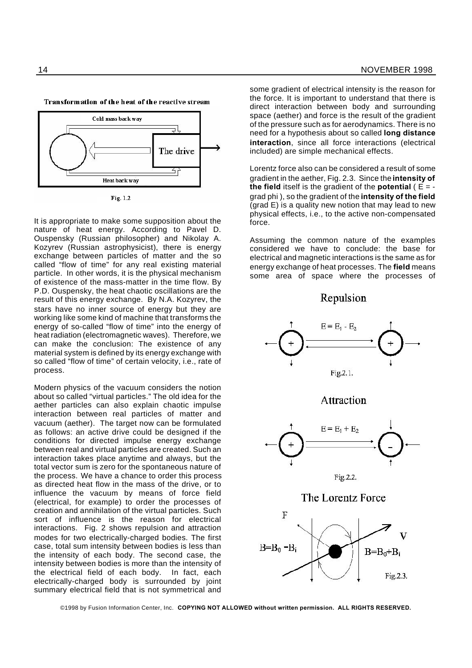

Transformation of the heat of the reactive stream



It is appropriate to make some supposition about the nature of heat energy. According to Pavel D. Ouspensky (Russian philosopher) and Nikolay A. Kozyrev (Russian astrophysicist), there is energy exchange between particles of matter and the so called "flow of time" for any real existing material particle. In other words, it is the physical mechanism of existence of the mass-matter in the time flow. By P.D. Ouspensky, the heat chaotic oscillations are the result of this energy exchange. By N.A. Kozyrev, the stars have no inner source of energy but they are working like some kind of machine that transforms the energy of so-called "flow of time" into the energy of heat radiation (electromagnetic waves). Therefore, we can make the conclusion: The existence of any material system is defined by its energy exchange with so called "flow of time" of certain velocity, i.e., rate of process.

Modern physics of the vacuum considers the notion about so called "virtual particles." The old idea for the aether particles can also explain chaotic impulse interaction between real particles of matter and vacuum (aether). The target now can be formulated as follows: an active drive could be designed if the conditions for directed impulse energy exchange between real and virtual particles are created. Such an interaction takes place anytime and always, but the total vector sum is zero for the spontaneous nature of the process. We have a chance to order this process as directed heat flow in the mass of the drive, or to influence the vacuum by means of force field (electrical, for example) to order the processes of creation and annihilation of the virtual particles. Such sort of influence is the reason for electrical interactions. Fig. 2 shows repulsion and attraction modes for two electrically-charged bodies. The first case, total sum intensity between bodies is less than the intensity of each body. The second case, the intensity between bodies is more than the intensity of the electrical field of each body. In fact, each electrically-charged body is surrounded by joint summary electrical field that is not symmetrical and

some gradient of electrical intensity is the reason for the force. It is important to understand that there is direct interaction between body and surrounding space (aether) and force is the result of the gradient of the pressure such as for aerodynamics. There is no need for a hypothesis about so called **long distance interaction**, since all force interactions (electrical included) are simple mechanical effects.

Lorentz force also can be considered a result of some gradient in the aether, Fig. 2.3. Since the **intensity of the field** itself is the gradient of the **potential** ( $E =$ grad phi ), so the gradient of the **intensity of the field**  $(\text{grad } E)$  is a quality new notion that may lead to new physical effects, i.e., to the active non-compensated force.

Assuming the common nature of the examples considered we have to conclude: the base for electrical and magnetic interactions is the same as for energy exchange of heat processes. The **field** means some area of space where the processes of

Repulsion









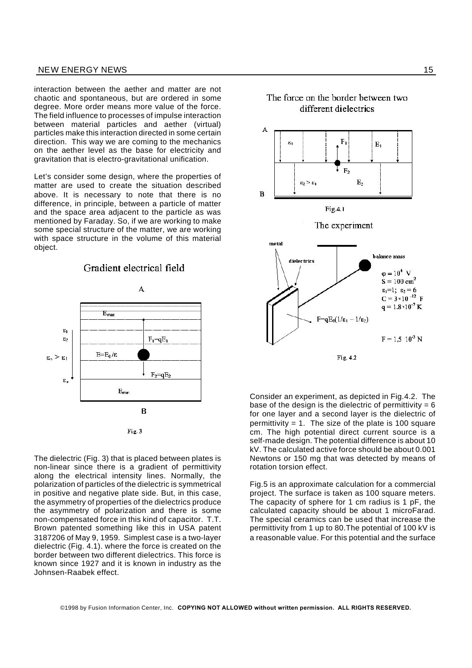interaction between the aether and matter are not chaotic and spontaneous, but are ordered in some degree. More order means more value of the force. The field influence to processes of impulse interaction between material particles and aether (virtual) particles make this interaction directed in some certain direction. This way we are coming to the mechanics on the aether level as the base for electricity and gravitation that is electro-gravitational unification.

Let's consider some design, where the properties of matter are used to create the situation described above. It is necessary to note that there is no difference, in principle, between a particle of matter and the space area adjacent to the particle as was mentioned by Faraday. So, if we are working to make some special structure of the matter, we are working with space structure in the volume of this material object.

Gradient electrical field





The dielectric (Fig. 3) that is placed between plates is non-linear since there is a gradient of permittivity along the electrical intensity lines. Normally, the polarization of particles of the dielectric is symmetrical in positive and negative plate side. But, in this case, the asymmetry of properties of the dielectrics produce the asymmetry of polarization and there is some non-compensated force in this kind of capacitor. T.T. Brown patented something like this in USA patent 3187206 of May 9, 1959. Simplest case is a two-layer dielectric (Fig. 4.1). where the force is created on the border between two different dielectrics. This force is known since 1927 and it is known in industry as the Johnsen-Raabek effect.



Consider an experiment, as depicted in Fig.4.2. The base of the design is the dielectric of permittivity =  $6$ for one layer and a second layer is the dielectric of permittivity  $= 1$ . The size of the plate is 100 square cm. The high potential direct current source is a self-made design. The potential difference is about 10 kV. The calculated active force should be about 0.001 Newtons or 150 mg that was detected by means of rotation torsion effect.

Fig.5 is an approximate calculation for a commercial project. The surface is taken as 100 square meters. The capacity of sphere for 1 cm radius is 1 pF, the calculated capacity should be about 1 microFarad. The special ceramics can be used that increase the permittivity from 1 up to 80.The potential of 100 kV is a reasonable value. For this potential and the surface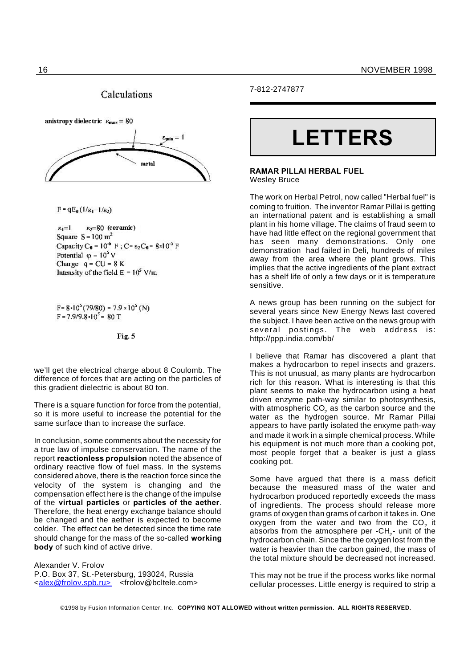#### Calculations



 $F = qE_0(1/\epsilon_1 - 1/\epsilon_2)$ 

 $\varepsilon_2 = 80$  (ceramic)  $\varepsilon_1 = 1$ Square  $S = 100$  m<sup>2</sup> Capacity C<sub>0</sub> =  $10^{-6}$  F; C=  $\varepsilon_2$ C<sub>0</sub> =  $8 \times 10^{-5}$  F Potential  $\varphi = 10^5$  V Charge  $q = CU = 8 K$ Intensity of the field  $E = 10^5$  V/m

 $F = 8.10^{5} (79/80) = 7.9 \times 10^{5} (N)$  $F = 7.9/9.8 \cdot 10^{5} = 80 T$ 

Fig. 5

we'll get the electrical charge about 8 Coulomb. The difference of forces that are acting on the particles of this gradient dielectric is about 80 ton.

There is a square function for force from the potential, so it is more useful to increase the potential for the same surface than to increase the surface.

In conclusion, some comments about the necessity for a true law of impulse conservation. The name of the report **reactionless propulsion** noted the absence of ordinary reactive flow of fuel mass. In the systems considered above, there is the reaction force since the velocity of the system is changing and the compensation effect here is the change of the impulse of the **virtual particles** or **particles of the aether**. Therefore, the heat energy exchange balance should be changed and the aether is expected to become colder. The effect can be detected since the time rate should change for the mass of the so-called **working body** of such kind of active drive.

Alexander V. Frolov P.O. Box 37, St.-Petersburg, 193024, Russia <alex@frolov.spb.ru> <frolov@bcltele.com> 7-812-2747877

# **LETTERS**

#### **RAMAR PILLAI HERBAL FUEL** Wesley Bruce

The work on Herbal Petrol, now called "Herbal fuel" is coming to fruition. The inventor Ramar Pillai is getting an international patent and is establishing a small plant in his home village. The claims of fraud seem to have had little effect on the regional government that has seen many demonstrations. Only one demonstration had failed in Deli, hundreds of miles away from the area where the plant grows. This implies that the active ingredients of the plant extract has a shelf life of only a few days or it is temperature sensitive.

A news group has been running on the subject for several years since New Energy News last covered the subject. I have been active on the news group with several postings. The web address is: http://ppp.india.com/bb/

I believe that Ramar has discovered a plant that makes a hydrocarbon to repel insects and grazers. This is not unusual, as many plants are hydrocarbon rich for this reason. What is interesting is that this plant seems to make the hydrocarbon using a heat driven enzyme path-way similar to photosynthesis, with atmospheric CO $_{\tiny 2}$  as the carbon source and the water as the hydrogen source. Mr Ramar Pillai appears to have partly isolated the enxyme path-way and made it work in a simple chemical process. While his equipment is not much more than a cooking pot, most people forget that a beaker is just a glass cooking pot.

Some have argued that there is a mass deficit because the measured mass of the water and hydrocarbon produced reportedly exceeds the mass of ingredients. The process should release more grams of oxygen than grams of carbon it takes in. One oxygen from the water and two from the CO<sub>2</sub> it absorbs from the atmosphere per -CH<sub>2</sub>- unit of the hydrocarbon chain. Since the the oxygen lost from the water is heavier than the carbon gained, the mass of the total mixture should be decreased not increased.

This may not be true if the process works like normal cellular processes. Little energy is required to strip a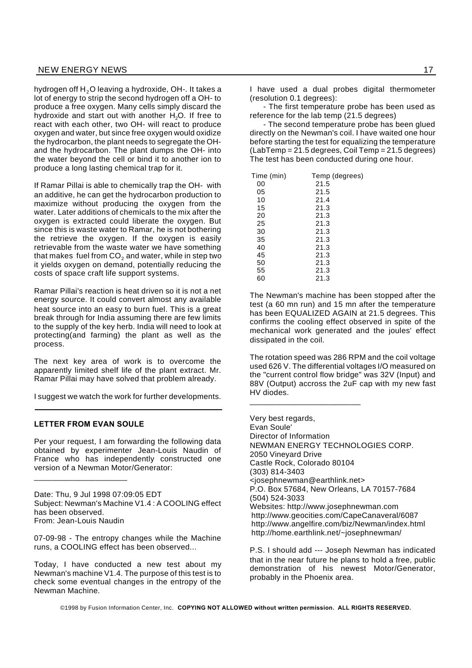hydrogen off  $H<sub>2</sub>O$  leaving a hydroxide, OH-. It takes a lot of energy to strip the second hydrogen off a OH- to produce a free oxygen. Many cells simply discard the hydroxide and start out with another  $H_2O$ . If free to react with each other, two OH- will react to produce oxygen and water, but since free oxygen would oxidize the hydrocarbon, the plant needs to segregate the OHand the hydrocarbon. The plant dumps the OH- into the water beyond the cell or bind it to another ion to produce a long lasting chemical trap for it.

If Ramar Pillai is able to chemically trap the OH- with an additive, he can get the hydrocarbon production to maximize without producing the oxygen from the water. Later additions of chemicals to the mix after the oxygen is extracted could liberate the oxygen. But since this is waste water to Ramar, he is not bothering the retrieve the oxygen. If the oxygen is easily retrievable from the waste water we have something that makes fuel from  $CO<sub>2</sub>$  and water, while in step two it yields oxygen on demand, potentially reducing the costs of space craft life support systems.

Ramar Pillai's reaction is heat driven so it is not a net energy source. It could convert almost any available heat source into an easy to burn fuel. This is a great break through for India assuming there are few limits to the supply of the key herb. India will need to look at protecting(and farming) the plant as well as the process.

The next key area of work is to overcome the apparently limited shelf life of the plant extract. Mr. Ramar Pillai may have solved that problem already.

I suggest we watch the work for further developments.

#### **LETTER FROM EVAN SOULE**

\_\_\_\_\_\_\_\_\_\_\_\_\_\_\_\_\_\_\_\_\_

Per your request, I am forwarding the following data obtained by experimenter Jean-Louis Naudin of France who has independently constructed one version of a Newman Motor/Generator:

Date: Thu, 9 Jul 1998 07:09:05 EDT Subject: Newman's Machine V1.4 : A COOLING effect has been observed. From: Jean-Louis Naudin

07-09-98 - The entropy changes while the Machine runs, a COOLING effect has been observed...

Today, I have conducted a new test about my Newman's machine V1.4. The purpose of this test is to check some eventual changes in the entropy of the Newman Machine.

- The first temperature probe has been used as reference for the lab temp (21.5 degrees)

- The second temperature probe has been glued directly on the Newman's coil. I have waited one hour before starting the test for equalizing the temperature (LabTemp = 21.5 degrees, Coil Temp = 21.5 degrees) The test has been conducted during one hour.

| Time (min) | Temp (degrees) |
|------------|----------------|
| 00         | 21.5           |
| 05         | 21.5           |
| 10         | 21.4           |
| 15         | 21.3           |
| 20         | 21.3           |
| 25         | 21.3           |
| 30         | 21.3           |
| 35         | 21.3           |
| 40         | 21.3           |
| 45         | 21.3           |
| 50         | 21.3           |
| 55         | 21.3           |
| 60         | 21.3           |

\_\_\_\_\_\_\_\_\_\_\_\_\_\_\_\_\_\_\_\_\_\_\_\_\_

The Newman's machine has been stopped after the test (a 60 mn run) and 15 mn after the temperature has been EQUALIZED AGAIN at 21.5 degrees. This confirms the cooling effect observed in spite of the mechanical work generated and the joules' effect dissipated in the coil.

The rotation speed was 286 RPM and the coil voltage used 626 V. The differential voltages I/O measured on the "current control flow bridge" was 32V (Input) and 88V (Output) accross the 2uF cap with my new fast HV diodes.

Very best regards, Evan Soule' Director of Information NEWMAN ENERGY TECHNOLOGIES CORP. 2050 Vineyard Drive Castle Rock, Colorado 80104 (303) 814-3403 <josephnewman@earthlink.net> P.O. Box 57684, New Orleans, LA 70157-7684 (504) 524-3033 Websites: http://www.josephnewman.com http://www.geocities.com/CapeCanaveral/6087 http://www.angelfire.com/biz/Newman/index.html http://home.earthlink.net/~josephnewman/

P.S. I should add --- Joseph Newman has indicated that in the near future he plans to hold a free, public demonstration of his newest Motor/Generator, probably in the Phoenix area.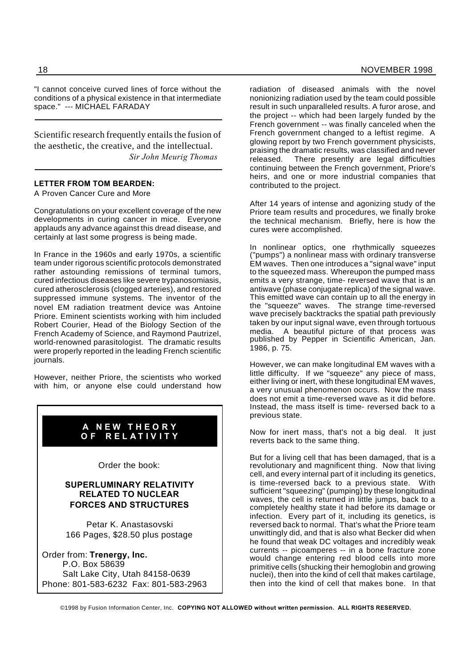"I cannot conceive curved lines of force without the conditions of a physical existence in that intermediate space." --- MICHAEL FARADAY

Scientific research frequently entails the fusion of the aesthetic, the creative, and the intellectual. *Sir John Meurig Thomas*

#### **LETTER FROM TOM BEARDEN:**

A Proven Cancer Cure and More

Congratulations on your excellent coverage of the new developments in curing cancer in mice. Everyone applauds any advance against this dread disease, and certainly at last some progress is being made.

In France in the 1960s and early 1970s, a scientific team under rigorous scientific protocols demonstrated rather astounding remissions of terminal tumors, cured infectious diseases like severe trypanosomiasis, cured atherosclerosis (clogged arteries), and restored suppressed immune systems. The inventor of the novel EM radiation treatment device was Antoine Priore. Eminent scientists working with him included Robert Courier, Head of the Biology Section of the French Academy of Science, and Raymond Pautrizel, world-renowned parasitologist. The dramatic results were properly reported in the leading French scientific journals.

However, neither Priore, the scientists who worked with him, or anyone else could understand how

#### **A N E W T H E O R Y O F R E L A T I V I T Y**

Order the book:

#### **SUPERLUMINARY RELATIVITY RELATED TO NUCLEAR FORCES AND STRUCTURES**

Petar K. Anastasovski 166 Pages, \$28.50 plus postage

Order from: **Trenergy, Inc.** P.O. Box 58639 Salt Lake City, Utah 84158-0639 Phone: 801-583-6232 Fax: 801-583-2963

radiation of diseased animals with the novel nonionizing radiation used by the team could possible result in such unparalleled results. A furor arose, and the project -- which had been largely funded by the French government -- was finally canceled when the French government changed to a leftist regime. A glowing report by two French government physicists, praising the dramatic results, was classified and never released. There presently are legal difficulties continuing between the French government, Priore's heirs, and one or more industrial companies that contributed to the project.

After 14 years of intense and agonizing study of the Priore team results and procedures, we finally broke the technical mechanism. Briefly, here is how the cures were accomplished.

In nonlinear optics, one rhythmically squeezes ("pumps") a nonlinear mass with ordinary transverse EM waves. Then one introduces a "signal wave" input to the squeezed mass. Whereupon the pumped mass emits a very strange, time- reversed wave that is an antiwave (phase conjugate replica) of the signal wave. This emitted wave can contain up to all the energy in the "squeeze" waves. The strange time-reversed wave precisely backtracks the spatial path previously taken by our input signal wave, even through tortuous media. A beautiful picture of that process was published by Pepper in Scientific American, Jan. 1986, p. 75.

However, we can make longitudinal EM waves with a little difficulty. If we "squeeze" any piece of mass, either living or inert, with these longitudinal EM waves, a very unusual phenomenon occurs. Now the mass does not emit a time-reversed wave as it did before. Instead, the mass itself is time- reversed back to a previous state.

Now for inert mass, that's not a big deal. It just reverts back to the same thing.

But for a living cell that has been damaged, that is a revolutionary and magnificent thing. Now that living cell, and every internal part of it including its genetics, is time-reversed back to a previous state. With sufficient "squeezing" (pumping) by these longitudinal waves, the cell is returned in little jumps, back to a completely healthy state it had before its damage or infection. Every part of it, including its genetics, is reversed back to normal. That's what the Priore team unwittingly did, and that is also what Becker did when he found that weak DC voltages and incredibly weak currents -- picoamperes -- in a bone fracture zone would change entering red blood cells into more primitive cells (shucking their hemoglobin and growing nuclei), then into the kind of cell that makes cartilage, then into the kind of cell that makes bone. In that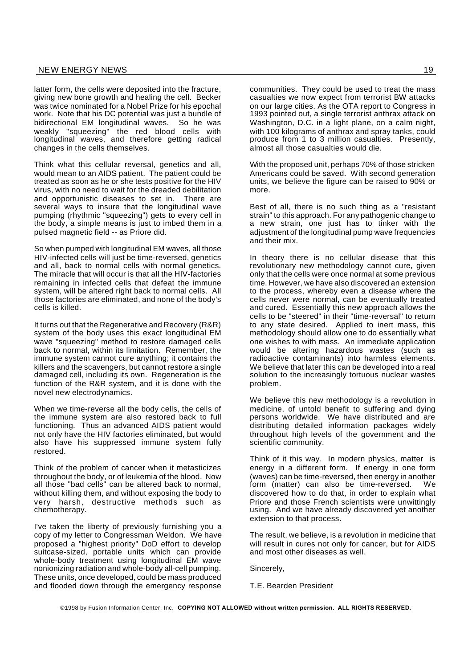latter form, the cells were deposited into the fracture, giving new bone growth and healing the cell. Becker was twice nominated for a Nobel Prize for his epochal work. Note that his DC potential was just a bundle of bidirectional EM longitudinal waves. So he was weakly "squeezing" the red blood cells with longitudinal waves, and therefore getting radical changes in the cells themselves.

Think what this cellular reversal, genetics and all, would mean to an AIDS patient. The patient could be treated as soon as he or she tests positive for the HIV virus, with no need to wait for the dreaded debilitation and opportunistic diseases to set in. There are several ways to insure that the longitudinal wave pumping (rhythmic "squeezing") gets to every cell in the body, a simple means is just to imbed them in a pulsed magnetic field -- as Priore did.

So when pumped with longitudinal EM waves, all those HIV-infected cells will just be time-reversed, genetics and all, back to normal cells with normal genetics. The miracle that will occur is that all the HIV-factories remaining in infected cells that defeat the immune system, will be altered right back to normal cells. All those factories are eliminated, and none of the body's cells is killed.

It turns out that the Regenerative and Recovery (R&R) system of the body uses this exact longitudinal EM wave "squeezing" method to restore damaged cells back to normal, within its limitation. Remember, the immune system cannot cure anything; it contains the killers and the scavengers, but cannot restore a single damaged cell, including its own. Regeneration is the function of the R&R system, and it is done with the novel new electrodynamics.

When we time-reverse all the body cells, the cells of the immune system are also restored back to full functioning. Thus an advanced AIDS patient would not only have the HIV factories eliminated, but would also have his suppressed immune system fully restored.

Think of the problem of cancer when it metasticizes throughout the body, or of leukemia of the blood. Now all those "bad cells" can be altered back to normal, without killing them, and without exposing the body to very harsh, destructive methods such as chemotherapy.

I've taken the liberty of previously furnishing you a copy of my letter to Congressman Weldon. We have proposed a "highest priority" DoD effort to develop suitcase-sized, portable units which can provide whole-body treatment using longitudinal EM wave nonionizing radiation and whole-body all-cell pumping. These units, once developed, could be mass produced and flooded down through the emergency response

communities. They could be used to treat the mass casualties we now expect from terrorist BW attacks on our large cities. As the OTA report to Congress in 1993 pointed out, a single terrorist anthrax attack on Washington, D.C. in a light plane, on a calm night, with 100 kilograms of anthrax and spray tanks, could produce from 1 to 3 million casualties. Presently, almost all those casualties would die.

With the proposed unit, perhaps 70% of those stricken Americans could be saved. With second generation units, we believe the figure can be raised to 90% or more.

Best of all, there is no such thing as a "resistant strain" to this approach. For any pathogenic change to a new strain, one just has to tinker with the adjustment of the longitudinal pump wave frequencies and their mix.

In theory there is no cellular disease that this revolutionary new methodology cannot cure, given only that the cells were once normal at some previous time. However, we have also discovered an extension to the process, whereby even a disease where the cells never were normal, can be eventually treated and cured. Essentially this new approach allows the cells to be "steered" in their "time-reversal" to return to any state desired. Applied to inert mass, this methodology should allow one to do essentially what one wishes to with mass. An immediate application would be altering hazardous wastes (such as radioactive contaminants) into harmless elements. We believe that later this can be developed into a real solution to the increasingly tortuous nuclear wastes problem.

We believe this new methodology is a revolution in medicine, of untold benefit to suffering and dying persons worldwide. We have distributed and are distributing detailed information packages widely throughout high levels of the government and the scientific community.

Think of it this way. In modern physics, matter is energy in a different form. If energy in one form (waves) can be time-reversed, then energy in another form (matter) can also be time-reversed. We discovered how to do that, in order to explain what Priore and those French scientists were unwittingly using. And we have already discovered yet another extension to that process.

The result, we believe, is a revolution in medicine that will result in cures not only for cancer, but for AIDS and most other diseases as well.

Sincerely,

T.E. Bearden President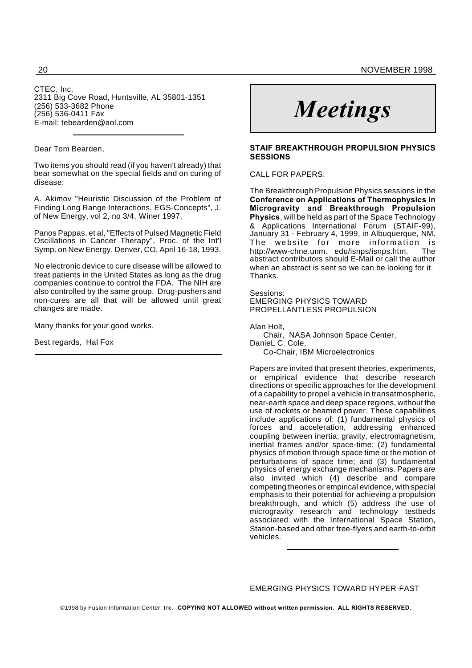CTEC, Inc. 2311 Big Cove Road, Huntsville, AL 35801-1351 (256) 533-3682 Phone (256) 536-0411 Fax E-mail: tebearden@aol.com

#### Dear Tom Bearden,

Two items you should read (if you haven't already) that bear somewhat on the special fields and on curing of disease:

A. Akimov "Heuristic Discussion of the Problem of Finding Long Range Interactions, EGS-Concepts", J. of New Energy, vol 2, no 3/4, Winer 1997.

Panos Pappas, et al, "Effects of Pulsed Magnetic Field Oscillations in Cancer Therapy", Proc. of the Int'l Symp. on New Energy, Denver, CO, April 16-18, 1993.

No electronic device to cure disease will be allowed to treat patients in the United States as long as the drug companies continue to control the FDA. The NIH are also controlled by the same group. Drug-pushers and non-cures are all that will be allowed until great changes are made.

Many thanks for your good works.

Best regards, Hal Fox

# *Meetings*

#### **STAIF BREAKTHROUGH PROPULSION PHYSICS SESSIONS**

#### CALL FOR PAPERS:

The Breakthrough Propulsion Physics sessions in the **Conference on Applications of Thermophysics in Microgravity and Breakthrough Propulsion Physics**, will be held as part of the Space Technology & Applications International Forum (STAIF-99), January 31 - February 4, 1999, in Albuquerque, NM. The website for more information is http://www-chne.unm. edu/isnps/isnps.htm. The abstract contributors should E-Mail or call the author when an abstract is sent so we can be looking for it. Thanks.

#### Sessions:

EMERGING PHYSICS TOWARD PROPELLANTLESS PROPULSION

Alan Holt,

Chair, NASA Johnson Space Center, DanieL C. Cole,

Co-Chair, IBM Microelectronics

Papers are invited that present theories, experiments, or empirical evidence that describe research directions or specific approaches for the development of a capability to propel a vehicle in transatmospheric, near-earth space and deep space regions, without the use of rockets or beamed power. These capabilities include applications of: (1) fundamental physics of forces and acceleration, addressing enhanced coupling between inertia, gravity, electromagnetism, inertial frames and/or space-time; (2) fundamental physics of motion through space time or the motion of perturbations of space time; and (3) fundamental physics of energy exchange mechanisms. Papers are also invited which (4) describe and compare competing theories or empirical evidence, with special emphasis to their potential for achieving a propulsion breakthrough, and which (5) address the use of microgravity research and technology testbeds associated with the International Space Station, Station-based and other free-flyers and earth-to-orbit vehicles.

EMERGING PHYSICS TOWARD HYPER-FAST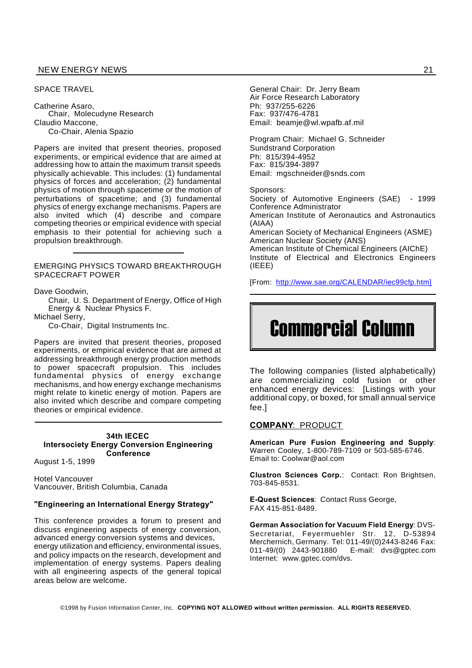#### NEW ENERGY NEWS 21

#### SPACE TRAVEL

Catherine Asaro, Chair, Molecudyne Research Claudio Maccone, Co-Chair, Alenia Spazio

Papers are invited that present theories, proposed experiments, or empirical evidence that are aimed at addressing how to attain the maximum transit speeds physically achievable. This includes: (1) fundamental physics of forces and acceleration; (2) fundamental physics of motion through spacetime or the motion of perturbations of spacetime; and (3) fundamental physics of energy exchange mechanisms. Papers are also invited which (4) describe and compare competing theories or empirical evidence with special emphasis to their potential for achieving such a propulsion breakthrough.

EMERGING PHYSICS TOWARD BREAKTHROUGH SPACECRAFT POWER

Dave Goodwin,

Chair, U. S. Department of Energy, Office of High Energy & Nuclear Physics F.

Michael Serry,

Co-Chair, Digital Instruments Inc.

Papers are invited that present theories, proposed experiments, or empirical evidence that are aimed at addressing breakthrough energy production methods to power spacecraft propulsion. This includes fundamental physics of energy exchange mechanisms, and how energy exchange mechanisms might relate to kinetic energy of motion. Papers are also invited which describe and compare competing theories or empirical evidence.

#### **34th IECEC Intersociety Energy Conversion Engineering Conference**

August 1-5, 1999

Hotel Vancouver Vancouver, British Columbia, Canada

#### **"Engineering an International Energy Strategy"**

This conference provides a forum to present and discuss engineering aspects of energy conversion, advanced energy conversion systems and devices, energy utilization and efficiency, environmental issues, and policy impacts on the research, development and implementation of energy systems. Papers dealing with all engineering aspects of the general topical areas below are welcome.

General Chair: Dr. Jerry Beam Air Force Research Laboratory Ph: 937/255-6226 Fax: 937/476-4781 Email: beamje@wl.wpafb.af.mil

Program Chair: Michael G. Schneider Sundstrand Corporation Ph: 815/394-4952 Fax: 815/394-3897 Email: mgschneider@snds.com

Sponsors: Society of Automotive Engineers (SAE) - 1999 Conference Administrator American Institute of Aeronautics and Astronautics (AIAA) American Society of Mechanical Engineers (ASME) American Nuclear Society (ANS) American Institute of Chemical Engineers (AIChE) Institute of Electrical and Electronics Engineers (IEEE)

[From: http://www.sae.org/CALENDAR/iec99cfp.htm]

## Commercial Column

The following companies (listed alphabetically) are commercializing cold fusion or other enhanced energy devices: [Listings with your additional copy, or boxed, for small annual service fee.]

#### **COMPANY**: PRODUCT

**American Pure Fusion Engineering and Supply**: Warren Cooley, 1-800-789-7109 or 503-585-6746. Email to: Coolwar@aol.com

**Clustron Sciences Corp.**: Contact: Ron Brightsen, 703-845-8531.

**E-Quest Sciences**: Contact Russ George, FAX 415-851-8489.

**German Association for Vacuum Field Energy**: DVS-Secretariat, Feyermuehler Str. 12, D-53894 Merchernich, Germany. Tel: 011-49/(0)2443-8246 Fax: 011-49/(0) 2443-901880 E-mail: dvs@gptec.com Internet: www.gptec.com/dvs.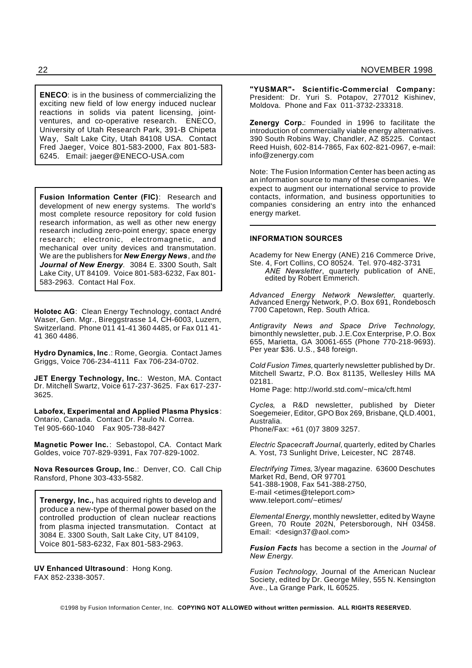**ENECO**: is in the business of commercializing the exciting new field of low energy induced nuclear reactions in solids via patent licensing, jointventures, and co-operative research. ENECO, University of Utah Research Park, 391-B Chipeta Way, Salt Lake City, Utah 84108 USA. Contact Fred Jaeger, Voice 801-583-2000, Fax 801-583- 6245. Email: jaeger@ENECO-USA.com

**Fusion Information Center (FIC)**: Research and development of new energy systems. The world's most complete resource repository for cold fusion research information, as well as other new energy research including zero-point energy; space energy research; electronic, electromagnetic, and mechanical over unity devices and transmutation. We are the publishers for *New Energy News*, and *the Journal of New Energy.* 3084 E. 3300 South, Salt Lake City, UT 84109. Voice 801-583-6232, Fax 801- 583-2963. Contact Hal Fox.

**Holotec AG**: Clean Energy Technology, contact André Waser, Gen. Mgr., Bireggstrasse 14, CH-6003, Luzern, Switzerland. Phone 011 41-41 360 4485, or Fax 011 41- 41 360 4486.

**Hydro Dynamics, Inc**.: Rome, Georgia. Contact James Griggs, Voice 706-234-4111 Fax 706-234-0702.

**JET Energy Technology, Inc.**: Weston, MA. Contact Dr. Mitchell Swartz, Voice 617-237-3625. Fax 617-237- 3625.

**Labofex, Experimental and Applied Plasma Physics**: Ontario, Canada. Contact Dr. Paulo N. Correa. Tel 905-660-1040 Fax 905-738-8427

**Magnetic Power Inc.**: Sebastopol, CA. Contact Mark Goldes, voice 707-829-9391, Fax 707-829-1002.

**Nova Resources Group, Inc**.: Denver, CO. Call Chip Ransford, Phone 303-433-5582.

**Trenergy, Inc.,** has acquired rights to develop and produce a new-type of thermal power based on the controlled production of clean nuclear reactions from plasma injected transmutation. Contact at 3084 E. 3300 South, Salt Lake City, UT 84109, Voice 801-583-6232, Fax 801-583-2963.

**UV Enhanced Ultrasound**: Hong Kong. FAX 852-2338-3057.

**"YUSMAR"- Scientific-Commercial Company:** President: Dr. Yuri S. Potapov, 277012 Kishinev, Moldova. Phone and Fax 011-3732-233318.

**Zenergy Corp.**: Founded in 1996 to facilitate the introduction of commercially viable energy alternatives. 390 South Robins Way, Chandler, AZ 85225. Contact Reed Huish, 602-814-7865, Fax 602-821-0967, e-mail: info@zenergy.com

Note: The Fusion Information Center has been acting as an information source to many of these companies. We expect to augment our international service to provide contacts, information, and business opportunities to companies considering an entry into the enhanced energy market.

#### **INFORMATION SOURCES**

Academy for New Energy (ANE) 216 Commerce Drive, Ste. 4, Fort Collins, CO 80524. Tel. 970-482-3731

*ANE Newsletter*, quarterly publication of ANE, edited by Robert Emmerich.

*Advanced Energy Network Newsletter*, quarterly. Advanced Energy Network, P.O. Box 691, Rondebosch 7700 Capetown, Rep. South Africa.

*Antigravity News and Space Drive Technology*, bimonthly newsletter, pub. J.E.Cox Enterprise, P.O. Box 655, Marietta, GA 30061-655 (Phone 770-218-9693). Per year \$36. U.S., \$48 foreign.

*Cold Fusion Times,* quarterly newsletter published by Dr. Mitchell Swartz, P.O. Box 81135, Wellesley Hills MA 02181.

Home Page: http://world.std.com/~mica/cft.html

*Cycles*, a R&D newsletter, published by Dieter Soegemeier, Editor, GPO Box 269, Brisbane, QLD.4001, Australia. Phone/Fax: +61 (0)7 3809 3257.

*Electric Spacecraft Journal*, quarterly, edited by Charles A. Yost, 73 Sunlight Drive, Leicester, NC 28748.

*Electrifying Times*, 3/year magazine. 63600 Deschutes Market Rd, Bend, OR 97701 541-388-1908, Fax 541-388-2750, E-mail <etimes@teleport.com> www.teleport.com/~etimes/

*Elemental Energy*, monthly newsletter, edited by Wayne Green, 70 Route 202N, Petersborough, NH 03458. Email: <design37@aol.com>

*Fusion Facts* has become a section in the *Journal of New Energy*.

*Fusion Technology,* Journal of the American Nuclear Society, edited by Dr. George Miley, 555 N. Kensington Ave., La Grange Park, IL 60525.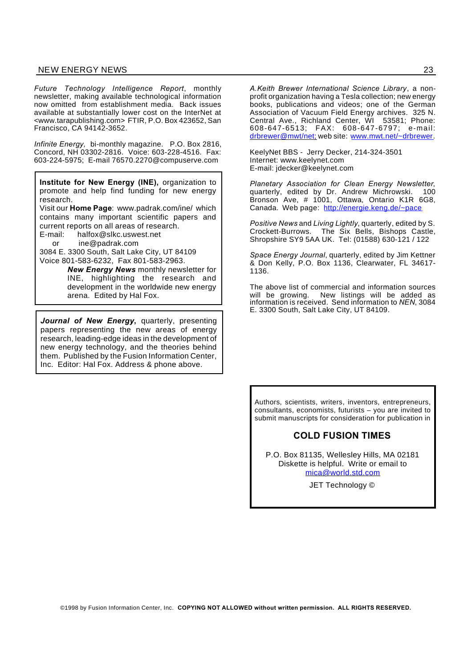#### NEW ENERGY NEWS 23

*Future Technology Intelligence Report*, monthly newsletter, making available technological information now omitted from establishment media. Back issues available at substantially lower cost on the InterNet at <www.tarapublishing.com> FTIR, P.O. Box 423652, San Francisco, CA 94142-3652.

*Infinite Energy,* bi-monthly magazine. P.O. Box 2816, Concord, NH 03302-2816. Voice: 603-228-4516. Fax: 603-224-5975; E-mail 76570.2270@compuserve.com

**Institute for New Energy (INE),** organization to promote and help find funding for new energy research.

Visit our **Home Page**: www.padrak.com/ine/ which contains many important scientific papers and current reports on all areas of research.

E-mail: halfox@slkc.uswest.net

or ine@padrak.com

3084 E. 3300 South, Salt Lake City, UT 84109 Voice 801-583-6232, Fax 801-583-2963.

> *New Energy News* monthly newsletter for INE, highlighting the research and development in the worldwide new energy arena. Edited by Hal Fox.

*Journal of New Energy***,** quarterly, presenting papers representing the new areas of energy research, leading-edge ideas in the development of new energy technology, and the theories behind them. Published by the Fusion Information Center, Inc. Editor: Hal Fox. Address & phone above.

*A.Keith Brewer International Science Library*, a nonprofit organization having a Tesla collection; new energy books, publications and videos; one of the German Association of Vacuum Field Energy archives. 325 N. Central Ave., Richland Center, WI 53581; Phone: 608-647-6513; FAX: 608-647-6797; e-mail: drbrewer@mwt/net; web site: www.mwt.net/~drbrewer.

KeelyNet BBS - Jerry Decker, 214-324-3501 Internet: www.keelynet.com E-mail: jdecker@keelynet.com

*Planetary Association for Clean Energy Newsletter*, quarterly, edited by Dr. Andrew Michrowski. 100 Bronson Ave, # 1001, Ottawa, Ontario K1R 6G8, Canada. Web page: http://energie.keng.de/~pace

*Positive News* and *Living Lightly*, quarterly, edited by S. Crockett-Burrows. The Six Bells, Bishops Castle, Shropshire SY9 5AA UK. Tel: (01588) 630-121 / 122

*Space Energy Journal*, quarterly, edited by Jim Kettner & Don Kelly, P.O. Box 1136, Clearwater, FL 34617- 1136.

The above list of commercial and information sources will be growing. New listings will be added as information is received. Send information to *NEN*, 3084 E. 3300 South, Salt Lake City, UT 84109.

Authors, scientists, writers, inventors, entrepreneurs, consultants, economists, futurists – you are invited to submit manuscripts for consideration for publication in

#### **COLD FUSION TIMES**

P.O. Box 81135, Wellesley Hills, MA 02181 Diskette is helpful. Write or email to mica@world.std.com

JET Technology ©